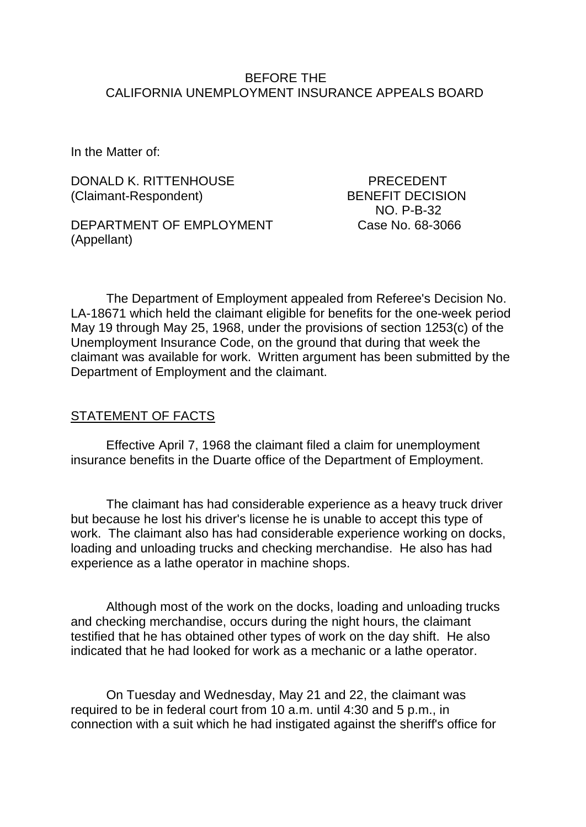#### BEFORE THE CALIFORNIA UNEMPLOYMENT INSURANCE APPEALS BOARD

In the Matter of:

DONALD K. RITTENHOUSE PRECEDENT (Claimant-Respondent) BENEFIT DECISION

DEPARTMENT OF EMPLOYMENT Case No. 68-3066 (Appellant)

NO. P-B-32

The Department of Employment appealed from Referee's Decision No. LA-18671 which held the claimant eligible for benefits for the one-week period May 19 through May 25, 1968, under the provisions of section 1253(c) of the Unemployment Insurance Code, on the ground that during that week the claimant was available for work. Written argument has been submitted by the Department of Employment and the claimant.

#### STATEMENT OF FACTS

Effective April 7, 1968 the claimant filed a claim for unemployment insurance benefits in the Duarte office of the Department of Employment.

The claimant has had considerable experience as a heavy truck driver but because he lost his driver's license he is unable to accept this type of work. The claimant also has had considerable experience working on docks, loading and unloading trucks and checking merchandise. He also has had experience as a lathe operator in machine shops.

Although most of the work on the docks, loading and unloading trucks and checking merchandise, occurs during the night hours, the claimant testified that he has obtained other types of work on the day shift. He also indicated that he had looked for work as a mechanic or a lathe operator.

On Tuesday and Wednesday, May 21 and 22, the claimant was required to be in federal court from 10 a.m. until 4:30 and 5 p.m., in connection with a suit which he had instigated against the sheriff's office for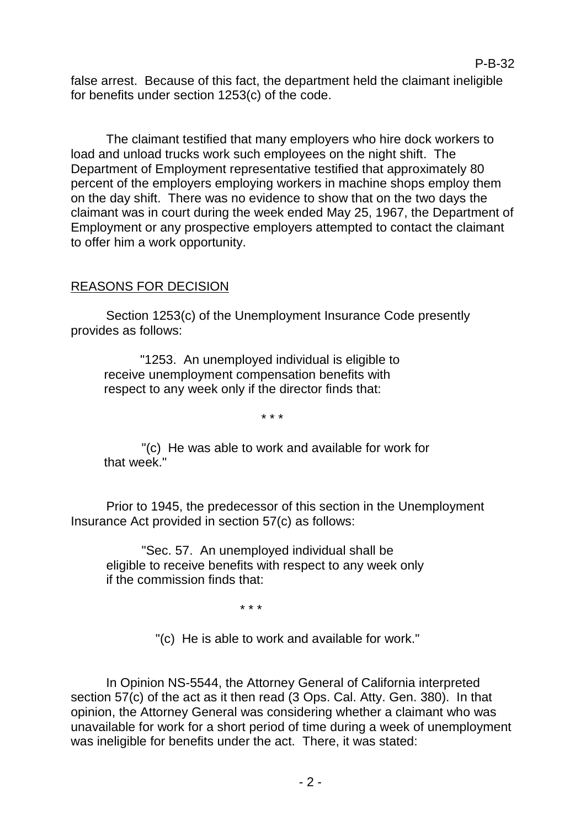false arrest. Because of this fact, the department held the claimant ineligible for benefits under section 1253(c) of the code.

The claimant testified that many employers who hire dock workers to load and unload trucks work such employees on the night shift. The Department of Employment representative testified that approximately 80 percent of the employers employing workers in machine shops employ them on the day shift. There was no evidence to show that on the two days the claimant was in court during the week ended May 25, 1967, the Department of Employment or any prospective employers attempted to contact the claimant to offer him a work opportunity.

## REASONS FOR DECISION

Section 1253(c) of the Unemployment Insurance Code presently provides as follows:

"1253. An unemployed individual is eligible to receive unemployment compensation benefits with respect to any week only if the director finds that:

\* \* \*

"(c) He was able to work and available for work for that week."

Prior to 1945, the predecessor of this section in the Unemployment Insurance Act provided in section 57(c) as follows:

"Sec. 57. An unemployed individual shall be eligible to receive benefits with respect to any week only if the commission finds that:

\* \* \*

"(c) He is able to work and available for work."

In Opinion NS-5544, the Attorney General of California interpreted section 57(c) of the act as it then read (3 Ops. Cal. Atty. Gen. 380). In that opinion, the Attorney General was considering whether a claimant who was unavailable for work for a short period of time during a week of unemployment was ineligible for benefits under the act. There, it was stated: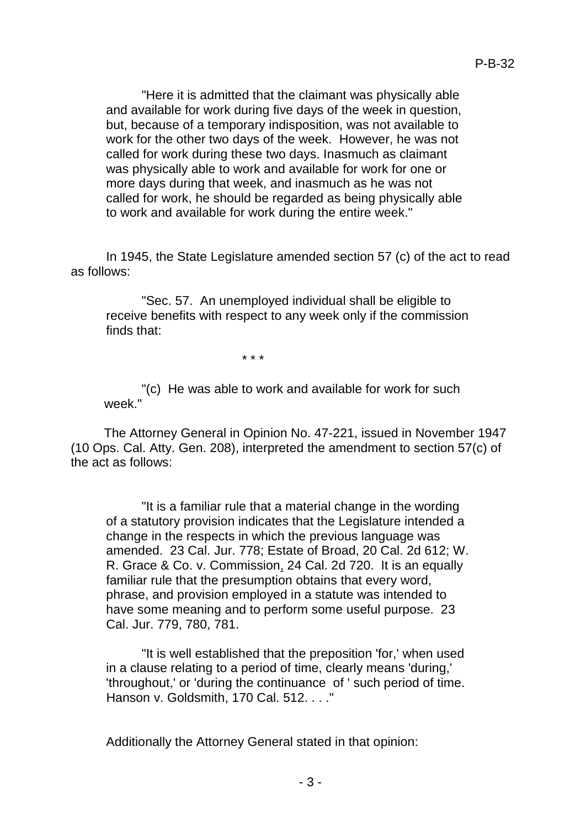"Here it is admitted that the claimant was physically able and available for work during five days of the week in question, but, because of a temporary indisposition, was not available to work for the other two days of the week. However, he was not called for work during these two days. Inasmuch as claimant was physically able to work and available for work for one or more days during that week, and inasmuch as he was not called for work, he should be regarded as being physically able to work and available for work during the entire week."

In 1945, the State Legislature amended section 57 (c) of the act to read as follows:

"Sec. 57. An unemployed individual shall be eligible to receive benefits with respect to any week only if the commission finds that:

\* \* \*

"(c) He was able to work and available for work for such week."

The Attorney General in Opinion No. 47-221, issued in November 1947 (10 Ops. Cal. Atty. Gen. 208), interpreted the amendment to section 57(c) of the act as follows:

"It is a familiar rule that a material change in the wording of a statutory provision indicates that the Legislature intended a change in the respects in which the previous language was amended. 23 Cal. Jur. 778; Estate of Broad, 20 Cal. 2d 612; W. R. Grace & Co. v. Commission, 24 Cal. 2d 720. It is an equally familiar rule that the presumption obtains that every word, phrase, and provision employed in a statute was intended to have some meaning and to perform some useful purpose. 23 Cal. Jur. 779, 780, 781.

"It is well established that the preposition 'for,' when used in a clause relating to a period of time, clearly means 'during,' 'throughout,' or 'during the continuance of ' such period of time. Hanson v. Goldsmith, 170 Cal. 512. . . ."

Additionally the Attorney General stated in that opinion: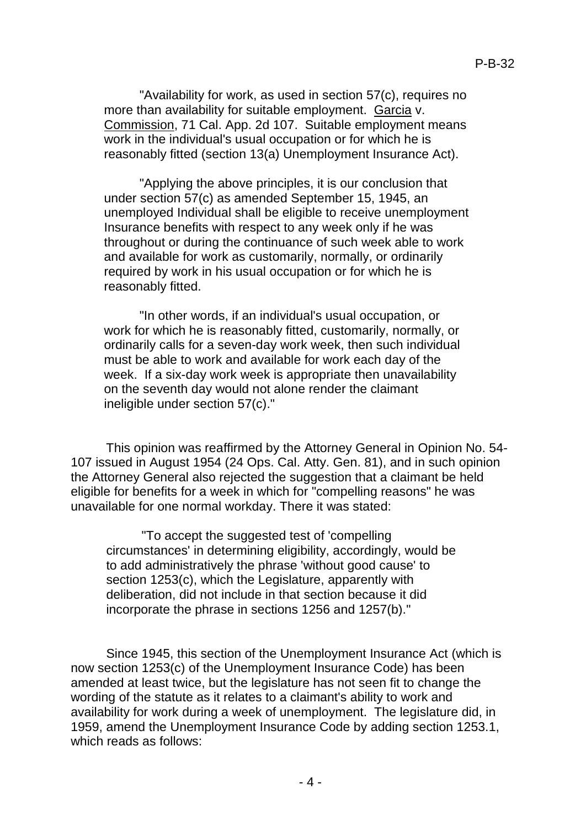"Availability for work, as used in section 57(c), requires no more than availability for suitable employment. Garcia v. Commission, 71 Cal. App. 2d 107. Suitable employment means work in the individual's usual occupation or for which he is reasonably fitted (section 13(a) Unemployment Insurance Act).

"Applying the above principles, it is our conclusion that under section 57(c) as amended September 15, 1945, an unemployed Individual shall be eligible to receive unemployment Insurance benefits with respect to any week only if he was throughout or during the continuance of such week able to work and available for work as customarily, normally, or ordinarily required by work in his usual occupation or for which he is reasonably fitted.

"In other words, if an individual's usual occupation, or work for which he is reasonably fitted, customarily, normally, or ordinarily calls for a seven-day work week, then such individual must be able to work and available for work each day of the week. If a six-day work week is appropriate then unavailability on the seventh day would not alone render the claimant ineligible under section 57(c)."

This opinion was reaffirmed by the Attorney General in Opinion No. 54- 107 issued in August 1954 (24 Ops. Cal. Atty. Gen. 81), and in such opinion the Attorney General also rejected the suggestion that a claimant be held eligible for benefits for a week in which for "compelling reasons" he was unavailable for one normal workday. There it was stated:

"To accept the suggested test of 'compelling circumstances' in determining eligibility, accordingly, would be to add administratively the phrase 'without good cause' to section 1253(c), which the Legislature, apparently with deliberation, did not include in that section because it did incorporate the phrase in sections 1256 and 1257(b)."

Since 1945, this section of the Unemployment Insurance Act (which is now section 1253(c) of the Unemployment Insurance Code) has been amended at least twice, but the legislature has not seen fit to change the wording of the statute as it relates to a claimant's ability to work and availability for work during a week of unemployment. The legislature did, in 1959, amend the Unemployment Insurance Code by adding section 1253.1, which reads as follows: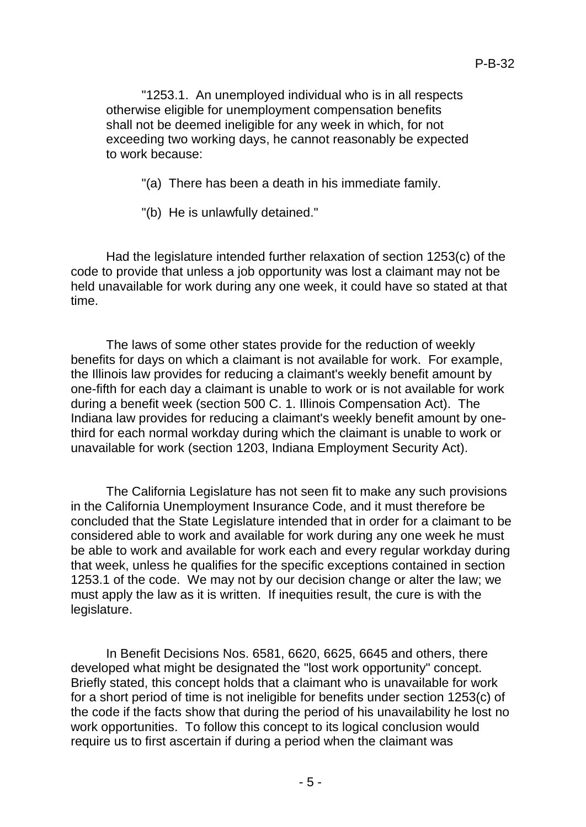"1253.1. An unemployed individual who is in all respects otherwise eligible for unemployment compensation benefits shall not be deemed ineligible for any week in which, for not exceeding two working days, he cannot reasonably be expected to work because:

"(a) There has been a death in his immediate family.

"(b) He is unlawfully detained."

Had the legislature intended further relaxation of section 1253(c) of the code to provide that unless a job opportunity was lost a claimant may not be held unavailable for work during any one week, it could have so stated at that time.

The laws of some other states provide for the reduction of weekly benefits for days on which a claimant is not available for work. For example, the Illinois law provides for reducing a claimant's weekly benefit amount by one-fifth for each day a claimant is unable to work or is not available for work during a benefit week (section 500 C. 1. Illinois Compensation Act). The Indiana law provides for reducing a claimant's weekly benefit amount by onethird for each normal workday during which the claimant is unable to work or unavailable for work (section 1203, Indiana Employment Security Act).

The California Legislature has not seen fit to make any such provisions in the California Unemployment Insurance Code, and it must therefore be concluded that the State Legislature intended that in order for a claimant to be considered able to work and available for work during any one week he must be able to work and available for work each and every regular workday during that week, unless he qualifies for the specific exceptions contained in section 1253.1 of the code. We may not by our decision change or alter the law; we must apply the law as it is written. If inequities result, the cure is with the legislature.

In Benefit Decisions Nos. 6581, 6620, 6625, 6645 and others, there developed what might be designated the "lost work opportunity" concept. Briefly stated, this concept holds that a claimant who is unavailable for work for a short period of time is not ineligible for benefits under section 1253(c) of the code if the facts show that during the period of his unavailability he lost no work opportunities. To follow this concept to its logical conclusion would require us to first ascertain if during a period when the claimant was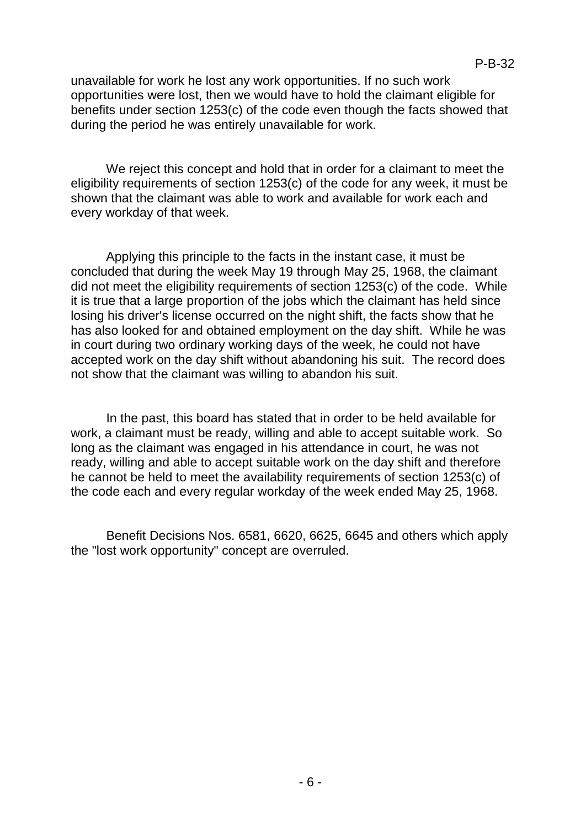unavailable for work he lost any work opportunities. If no such work opportunities were lost, then we would have to hold the claimant eligible for benefits under section 1253(c) of the code even though the facts showed that during the period he was entirely unavailable for work.

We reject this concept and hold that in order for a claimant to meet the eligibility requirements of section 1253(c) of the code for any week, it must be shown that the claimant was able to work and available for work each and every workday of that week.

Applying this principle to the facts in the instant case, it must be concluded that during the week May 19 through May 25, 1968, the claimant did not meet the eligibility requirements of section 1253(c) of the code. While it is true that a large proportion of the jobs which the claimant has held since losing his driver's license occurred on the night shift, the facts show that he has also looked for and obtained employment on the day shift. While he was in court during two ordinary working days of the week, he could not have accepted work on the day shift without abandoning his suit. The record does not show that the claimant was willing to abandon his suit.

In the past, this board has stated that in order to be held available for work, a claimant must be ready, willing and able to accept suitable work. So long as the claimant was engaged in his attendance in court, he was not ready, willing and able to accept suitable work on the day shift and therefore he cannot be held to meet the availability requirements of section 1253(c) of the code each and every regular workday of the week ended May 25, 1968.

Benefit Decisions Nos. 6581, 6620, 6625, 6645 and others which apply the "lost work opportunity" concept are overruled.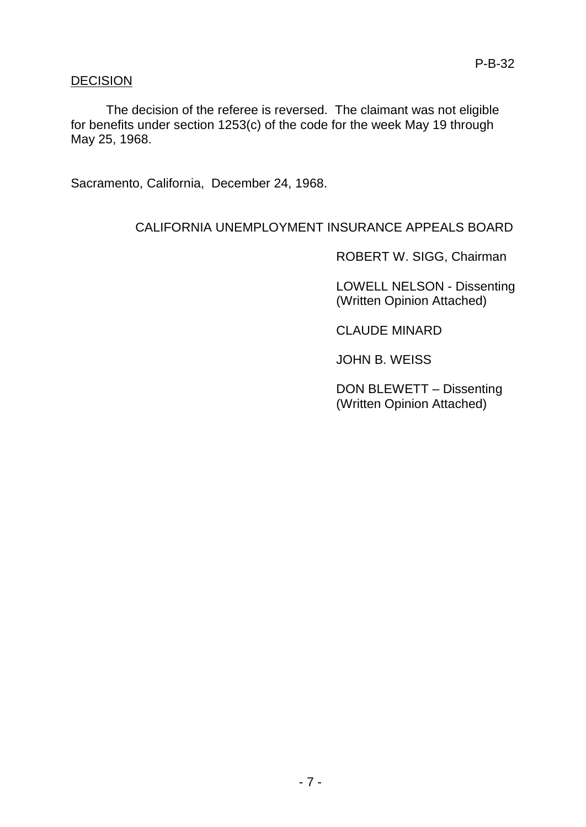### DECISION

The decision of the referee is reversed. The claimant was not eligible for benefits under section 1253(c) of the code for the week May 19 through May 25, 1968.

Sacramento, California, December 24, 1968.

# CALIFORNIA UNEMPLOYMENT INSURANCE APPEALS BOARD

ROBERT W. SIGG, Chairman

LOWELL NELSON - Dissenting (Written Opinion Attached)

CLAUDE MINARD

JOHN B. WEISS

DON BLEWETT – Dissenting (Written Opinion Attached)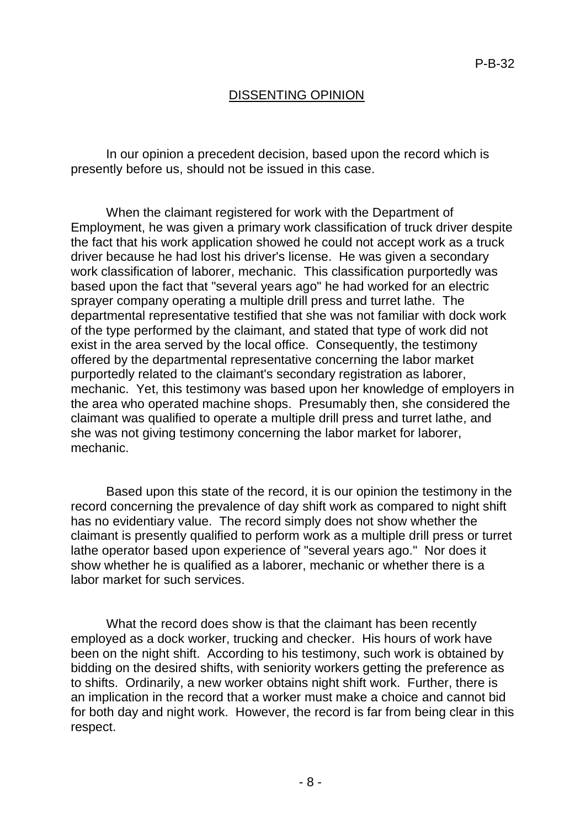### DISSENTING OPINION

In our opinion a precedent decision, based upon the record which is presently before us, should not be issued in this case.

When the claimant registered for work with the Department of Employment, he was given a primary work classification of truck driver despite the fact that his work application showed he could not accept work as a truck driver because he had lost his driver's license. He was given a secondary work classification of laborer, mechanic. This classification purportedly was based upon the fact that "several years ago" he had worked for an electric sprayer company operating a multiple drill press and turret lathe. The departmental representative testified that she was not familiar with dock work of the type performed by the claimant, and stated that type of work did not exist in the area served by the local office. Consequently, the testimony offered by the departmental representative concerning the labor market purportedly related to the claimant's secondary registration as laborer, mechanic. Yet, this testimony was based upon her knowledge of employers in the area who operated machine shops. Presumably then, she considered the claimant was qualified to operate a multiple drill press and turret lathe, and she was not giving testimony concerning the labor market for laborer, mechanic.

Based upon this state of the record, it is our opinion the testimony in the record concerning the prevalence of day shift work as compared to night shift has no evidentiary value. The record simply does not show whether the claimant is presently qualified to perform work as a multiple drill press or turret lathe operator based upon experience of "several years ago." Nor does it show whether he is qualified as a laborer, mechanic or whether there is a labor market for such services.

What the record does show is that the claimant has been recently employed as a dock worker, trucking and checker. His hours of work have been on the night shift. According to his testimony, such work is obtained by bidding on the desired shifts, with seniority workers getting the preference as to shifts. Ordinarily, a new worker obtains night shift work. Further, there is an implication in the record that a worker must make a choice and cannot bid for both day and night work. However, the record is far from being clear in this respect.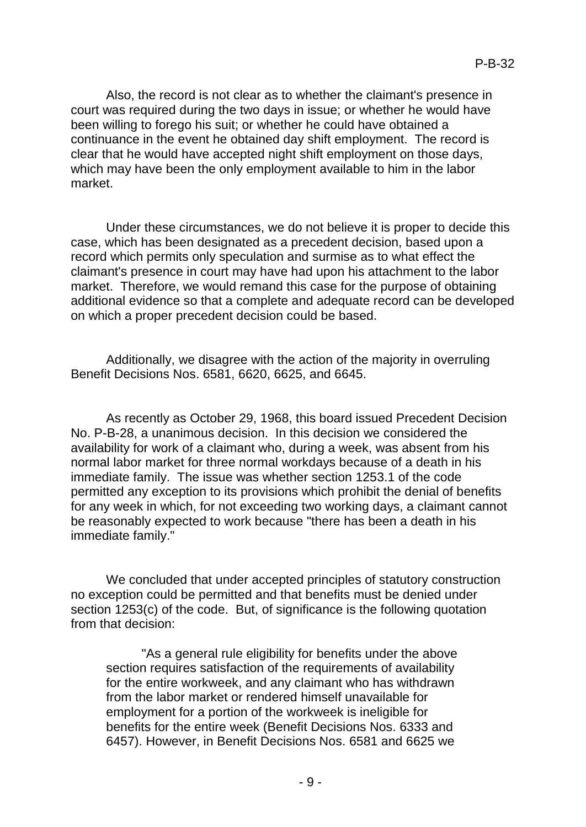Also, the record is not clear as to whether the claimant's presence in court was required during the two days in issue; or whether he would have been willing to forego his suit; or whether he could have obtained a continuance in the event he obtained day shift employment. The record is clear that he would have accepted night shift employment on those days, which may have been the only employment available to him in the labor market.

Under these circumstances, we do not believe it is proper to decide this case, which has been designated as a precedent decision, based upon a record which permits only speculation and surmise as to what effect the claimant's presence in court may have had upon his attachment to the labor market. Therefore, we would remand this case for the purpose of obtaining additional evidence so that a complete and adequate record can be developed on which a proper precedent decision could be based.

Additionally, we disagree with the action of the majority in overruling Benefit Decisions Nos. 6581, 6620, 6625, and 6645.

As recently as October 29, 1968, this board issued Precedent Decision No. P-B-28, a unanimous decision. In this decision we considered the availability for work of a claimant who, during a week, was absent from his normal labor market for three normal workdays because of a death in his immediate family. The issue was whether section 1253.1 of the code permitted any exception to its provisions which prohibit the denial of benefits for any week in which, for not exceeding two working days, a claimant cannot be reasonably expected to work because "there has been a death in his immediate family."

We concluded that under accepted principles of statutory construction no exception could be permitted and that benefits must be denied under section 1253(c) of the code. But, of significance is the following quotation from that decision:

"As a general rule eligibility for benefits under the above section requires satisfaction of the requirements of availability for the entire workweek, and any claimant who has withdrawn from the labor market or rendered himself unavailable for employment for a portion of the workweek is ineligible for benefits for the entire week (Benefit Decisions Nos. 6333 and 6457). However, in Benefit Decisions Nos. 6581 and 6625 we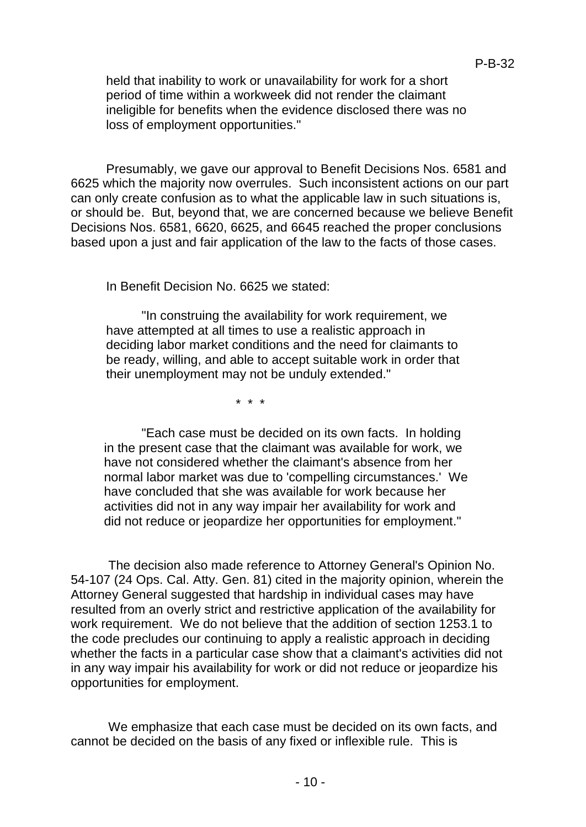held that inability to work or unavailability for work for a short period of time within a workweek did not render the claimant ineligible for benefits when the evidence disclosed there was no loss of employment opportunities."

Presumably, we gave our approval to Benefit Decisions Nos. 6581 and 6625 which the majority now overrules. Such inconsistent actions on our part can only create confusion as to what the applicable law in such situations is, or should be. But, beyond that, we are concerned because we believe Benefit Decisions Nos. 6581, 6620, 6625, and 6645 reached the proper conclusions based upon a just and fair application of the law to the facts of those cases.

In Benefit Decision No. 6625 we stated:

"In construing the availability for work requirement, we have attempted at all times to use a realistic approach in deciding labor market conditions and the need for claimants to be ready, willing, and able to accept suitable work in order that their unemployment may not be unduly extended."

\* \* \*

"Each case must be decided on its own facts. In holding in the present case that the claimant was available for work, we have not considered whether the claimant's absence from her normal labor market was due to 'compelling circumstances.' We have concluded that she was available for work because her activities did not in any way impair her availability for work and did not reduce or jeopardize her opportunities for employment."

The decision also made reference to Attorney General's Opinion No. 54-107 (24 Ops. Cal. Atty. Gen. 81) cited in the majority opinion, wherein the Attorney General suggested that hardship in individual cases may have resulted from an overly strict and restrictive application of the availability for work requirement. We do not believe that the addition of section 1253.1 to the code precludes our continuing to apply a realistic approach in deciding whether the facts in a particular case show that a claimant's activities did not in any way impair his availability for work or did not reduce or jeopardize his opportunities for employment.

We emphasize that each case must be decided on its own facts, and cannot be decided on the basis of any fixed or inflexible rule. This is